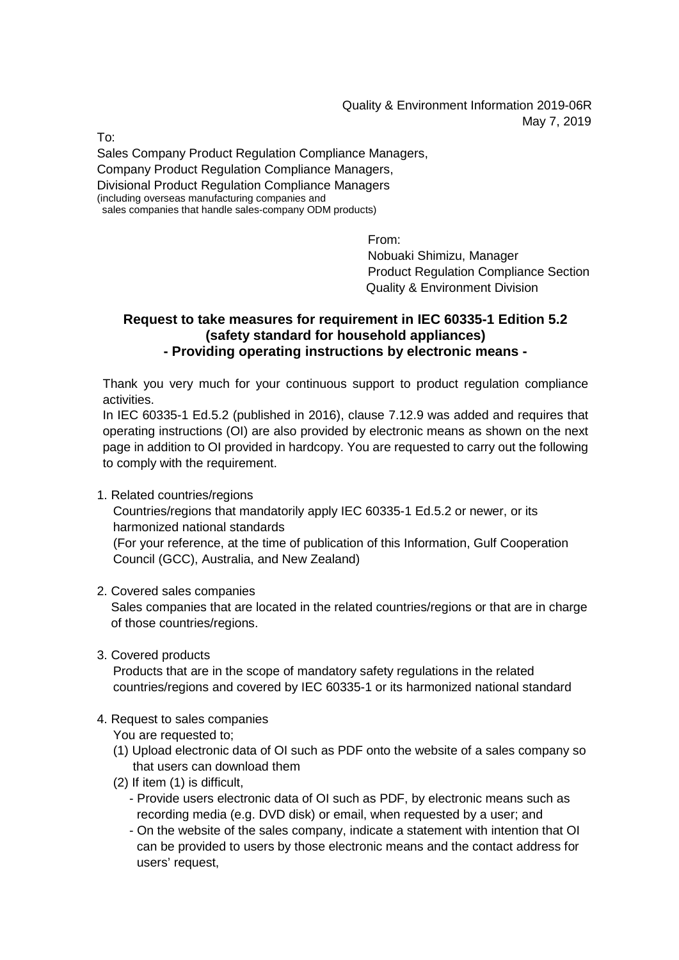Quality & Environment Information 2019-06R May 7, 2019

To:

Sales Company Product Regulation Compliance Managers, Company Product Regulation Compliance Managers, Divisional Product Regulation Compliance Managers (including overseas manufacturing companies and sales companies that handle sales-company ODM products)

From:

Nobuaki Shimizu, Manager Product Regulation Compliance Section Quality & Environment Division

## **Request to take measures for requirement in IEC 60335-1 Edition 5.2 (safety standard for household appliances) - Providing operating instructions by electronic means -**

Thank you very much for your continuous support to product regulation compliance activities.

In IEC 60335-1 Ed.5.2 (published in 2016), clause 7.12.9 was added and requires that operating instructions (OI) are also provided by electronic means as shown on the next page in addition to OI provided in hardcopy. You are requested to carry out the following to comply with the requirement.

1. Related countries/regions

Countries/regions that mandatorily apply IEC 60335-1 Ed.5.2 or newer, or its harmonized national standards

(For your reference, at the time of publication of this Information, Gulf Cooperation Council (GCC), Australia, and New Zealand)

2. Covered sales companies

Sales companies that are located in the related countries/regions or that are in charge of those countries/regions.

3. Covered products

Products that are in the scope of mandatory safety regulations in the related countries/regions and covered by IEC 60335-1 or its harmonized national standard

- 4. Request to sales companies
	- You are requested to;
	- (1) Upload electronic data of OI such as PDF onto the website of a sales company so that users can download them
	- (2) If item (1) is difficult,
		- Provide users electronic data of OI such as PDF, by electronic means such as recording media (e.g. DVD disk) or email, when requested by a user; and
		- On the website of the sales company, indicate a statement with intention that OI can be provided to users by those electronic means and the contact address for users' request,